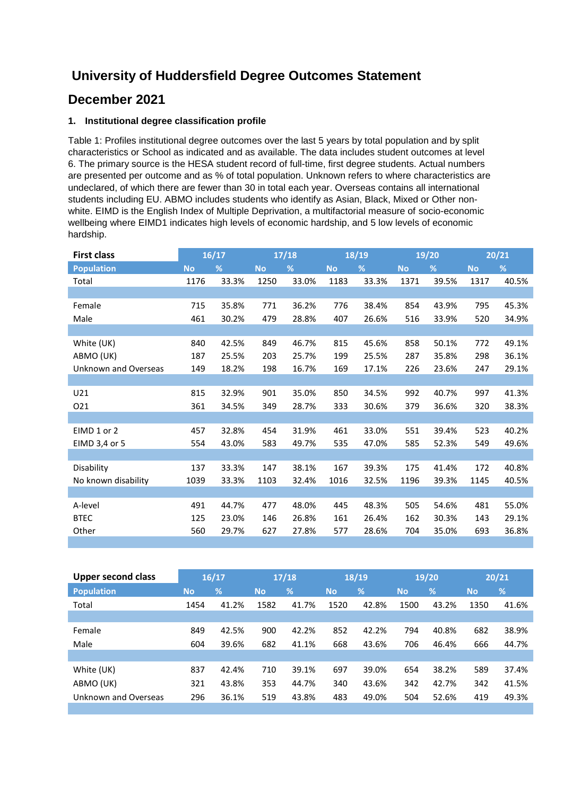# **University of Huddersfield Degree Outcomes Statement**

## **December 2021**

## **1. Institutional degree classification profile**

Table 1: Profiles institutional degree outcomes over the last 5 years by total population and by split characteristics or School as indicated and as available. The data includes student outcomes at level 6. The primary source is the HESA student record of full-time, first degree students. Actual numbers are presented per outcome and as % of total population. Unknown refers to where characteristics are undeclared, of which there are fewer than 30 in total each year. Overseas contains all international students including EU. ABMO includes students who identify as Asian, Black, Mixed or Other nonwhite. EIMD is the English Index of Multiple Deprivation, a multifactorial measure of socio-economic wellbeing where EIMD1 indicates high levels of economic hardship, and 5 low levels of economic hardship.

| <b>First class</b>   |           | 16/17 |           | 17/18 | 18/19     |       | 19/20     |       | 20/21     |       |
|----------------------|-----------|-------|-----------|-------|-----------|-------|-----------|-------|-----------|-------|
| <b>Population</b>    | <b>No</b> | %     | <b>No</b> | %     | <b>No</b> | %     | <b>No</b> | %     | <b>No</b> | %     |
| Total                | 1176      | 33.3% | 1250      | 33.0% | 1183      | 33.3% | 1371      | 39.5% | 1317      | 40.5% |
|                      |           |       |           |       |           |       |           |       |           |       |
| Female               | 715       | 35.8% | 771       | 36.2% | 776       | 38.4% | 854       | 43.9% | 795       | 45.3% |
| Male                 | 461       | 30.2% | 479       | 28.8% | 407       | 26.6% | 516       | 33.9% | 520       | 34.9% |
|                      |           |       |           |       |           |       |           |       |           |       |
| White (UK)           | 840       | 42.5% | 849       | 46.7% | 815       | 45.6% | 858       | 50.1% | 772       | 49.1% |
| ABMO (UK)            | 187       | 25.5% | 203       | 25.7% | 199       | 25.5% | 287       | 35.8% | 298       | 36.1% |
| Unknown and Overseas | 149       | 18.2% | 198       | 16.7% | 169       | 17.1% | 226       | 23.6% | 247       | 29.1% |
|                      |           |       |           |       |           |       |           |       |           |       |
| U21                  | 815       | 32.9% | 901       | 35.0% | 850       | 34.5% | 992       | 40.7% | 997       | 41.3% |
| 021                  | 361       | 34.5% | 349       | 28.7% | 333       | 30.6% | 379       | 36.6% | 320       | 38.3% |
|                      |           |       |           |       |           |       |           |       |           |       |
| EIMD 1 or 2          | 457       | 32.8% | 454       | 31.9% | 461       | 33.0% | 551       | 39.4% | 523       | 40.2% |
| EIMD 3,4 or 5        | 554       | 43.0% | 583       | 49.7% | 535       | 47.0% | 585       | 52.3% | 549       | 49.6% |
|                      |           |       |           |       |           |       |           |       |           |       |
| Disability           | 137       | 33.3% | 147       | 38.1% | 167       | 39.3% | 175       | 41.4% | 172       | 40.8% |
| No known disability  | 1039      | 33.3% | 1103      | 32.4% | 1016      | 32.5% | 1196      | 39.3% | 1145      | 40.5% |
|                      |           |       |           |       |           |       |           |       |           |       |
| A-level              | 491       | 44.7% | 477       | 48.0% | 445       | 48.3% | 505       | 54.6% | 481       | 55.0% |
| <b>BTEC</b>          | 125       | 23.0% | 146       | 26.8% | 161       | 26.4% | 162       | 30.3% | 143       | 29.1% |
| Other                | 560       | 29.7% | 627       | 27.8% | 577       | 28.6% | 704       | 35.0% | 693       | 36.8% |
|                      |           |       |           |       |           |       |           |       |           |       |

| <b>Upper second class</b> | 16/17     |               |           | 17/18 |           | 18/19 |           | 19/20 |           | 20/21 |
|---------------------------|-----------|---------------|-----------|-------|-----------|-------|-----------|-------|-----------|-------|
| <b>Population</b>         | <b>No</b> | $\mathcal{A}$ | <b>No</b> | %     | <b>No</b> | %     | <b>No</b> | 1%    | <b>No</b> | %     |
| Total                     | 1454      | 41.2%         | 1582      | 41.7% | 1520      | 42.8% | 1500      | 43.2% | 1350      | 41.6% |
|                           |           |               |           |       |           |       |           |       |           |       |
| Female                    | 849       | 42.5%         | 900       | 42.2% | 852       | 42.2% | 794       | 40.8% | 682       | 38.9% |
| Male                      | 604       | 39.6%         | 682       | 41.1% | 668       | 43.6% | 706       | 46.4% | 666       | 44.7% |
|                           |           |               |           |       |           |       |           |       |           |       |
| White (UK)                | 837       | 42.4%         | 710       | 39.1% | 697       | 39.0% | 654       | 38.2% | 589       | 37.4% |
| ABMO (UK)                 | 321       | 43.8%         | 353       | 44.7% | 340       | 43.6% | 342       | 42.7% | 342       | 41.5% |
| Unknown and Overseas      | 296       | 36.1%         | 519       | 43.8% | 483       | 49.0% | 504       | 52.6% | 419       | 49.3% |
|                           |           |               |           |       |           |       |           |       |           |       |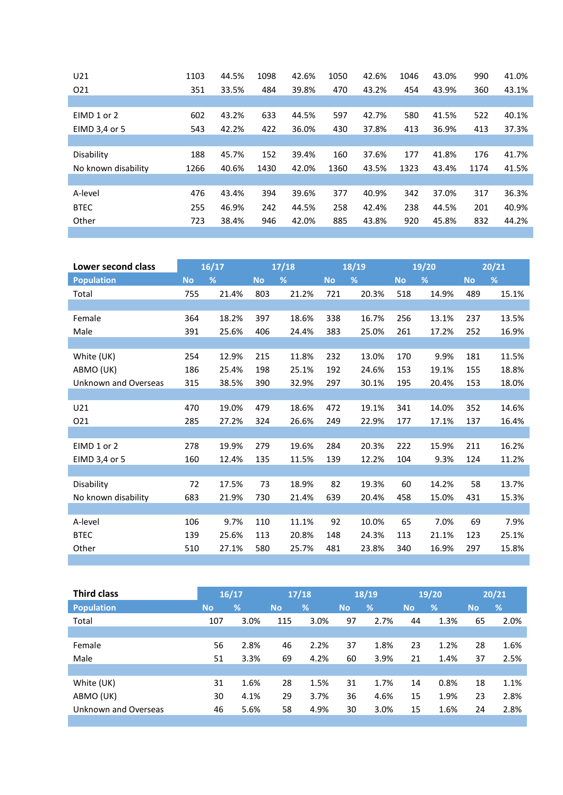| U21                 | 1103 | 44.5% | 1098 | 42.6% | 1050 | 42.6% | 1046 | 43.0% | 990  | 41.0% |
|---------------------|------|-------|------|-------|------|-------|------|-------|------|-------|
| 021                 | 351  | 33.5% | 484  | 39.8% | 470  | 43.2% | 454  | 43.9% | 360  | 43.1% |
|                     |      |       |      |       |      |       |      |       |      |       |
| EIMD 1 or 2         | 602  | 43.2% | 633  | 44.5% | 597  | 42.7% | 580  | 41.5% | 522  | 40.1% |
| EIMD 3,4 or 5       | 543  | 42.2% | 422  | 36.0% | 430  | 37.8% | 413  | 36.9% | 413  | 37.3% |
|                     |      |       |      |       |      |       |      |       |      |       |
| Disability          | 188  | 45.7% | 152  | 39.4% | 160  | 37.6% | 177  | 41.8% | 176  | 41.7% |
| No known disability | 1266 | 40.6% | 1430 | 42.0% | 1360 | 43.5% | 1323 | 43.4% | 1174 | 41.5% |
|                     |      |       |      |       |      |       |      |       |      |       |
| A-level             | 476  | 43.4% | 394  | 39.6% | 377  | 40.9% | 342  | 37.0% | 317  | 36.3% |
| <b>BTEC</b>         | 255  | 46.9% | 242  | 44.5% | 258  | 42.4% | 238  | 44.5% | 201  | 40.9% |
| Other               | 723  | 38.4% | 946  | 42.0% | 885  | 43.8% | 920  | 45.8% | 832  | 44.2% |
|                     |      |       |      |       |      |       |      |       |      |       |

| Lower second class          |           | 16/17 |           | 17/18 |           | 18/19 |           | 19/20 |           | 20/21 |
|-----------------------------|-----------|-------|-----------|-------|-----------|-------|-----------|-------|-----------|-------|
| <b>Population</b>           | <b>No</b> | %     | <b>No</b> | %     | <b>No</b> | %     | <b>No</b> | %     | <b>No</b> | %     |
| Total                       | 755       | 21.4% | 803       | 21.2% | 721       | 20.3% | 518       | 14.9% | 489       | 15.1% |
|                             |           |       |           |       |           |       |           |       |           |       |
| Female                      | 364       | 18.2% | 397       | 18.6% | 338       | 16.7% | 256       | 13.1% | 237       | 13.5% |
| Male                        | 391       | 25.6% | 406       | 24.4% | 383       | 25.0% | 261       | 17.2% | 252       | 16.9% |
|                             |           |       |           |       |           |       |           |       |           |       |
| White (UK)                  | 254       | 12.9% | 215       | 11.8% | 232       | 13.0% | 170       | 9.9%  | 181       | 11.5% |
| ABMO (UK)                   | 186       | 25.4% | 198       | 25.1% | 192       | 24.6% | 153       | 19.1% | 155       | 18.8% |
| <b>Unknown and Overseas</b> | 315       | 38.5% | 390       | 32.9% | 297       | 30.1% | 195       | 20.4% | 153       | 18.0% |
|                             |           |       |           |       |           |       |           |       |           |       |
| U21                         | 470       | 19.0% | 479       | 18.6% | 472       | 19.1% | 341       | 14.0% | 352       | 14.6% |
| 021                         | 285       | 27.2% | 324       | 26.6% | 249       | 22.9% | 177       | 17.1% | 137       | 16.4% |
|                             |           |       |           |       |           |       |           |       |           |       |
| EIMD 1 or 2                 | 278       | 19.9% | 279       | 19.6% | 284       | 20.3% | 222       | 15.9% | 211       | 16.2% |
| EIMD 3,4 or 5               | 160       | 12.4% | 135       | 11.5% | 139       | 12.2% | 104       | 9.3%  | 124       | 11.2% |
|                             |           |       |           |       |           |       |           |       |           |       |
| Disability                  | 72        | 17.5% | 73        | 18.9% | 82        | 19.3% | 60        | 14.2% | 58        | 13.7% |
| No known disability         | 683       | 21.9% | 730       | 21.4% | 639       | 20.4% | 458       | 15.0% | 431       | 15.3% |
|                             |           |       |           |       |           |       |           |       |           |       |
| A-level                     | 106       | 9.7%  | 110       | 11.1% | 92        | 10.0% | 65        | 7.0%  | 69        | 7.9%  |
| <b>BTEC</b>                 | 139       | 25.6% | 113       | 20.8% | 148       | 24.3% | 113       | 21.1% | 123       | 25.1% |
| Other                       | 510       | 27.1% | 580       | 25.7% | 481       | 23.8% | 340       | 16.9% | 297       | 15.8% |
|                             |           |       |           |       |           |       |           |       |           |       |

| <b>Third class</b>   | 16/17     |      |           | 17/18 |     | 18/19 |           | 19/20 |           | 20/21 |
|----------------------|-----------|------|-----------|-------|-----|-------|-----------|-------|-----------|-------|
| <b>Population</b>    | <b>No</b> | %    | <b>No</b> | %     | No. | %     | <b>No</b> | %     | <b>No</b> | %     |
| Total                | 107       | 3.0% | 115       | 3.0%  | 97  | 2.7%  | 44        | 1.3%  | 65        | 2.0%  |
|                      |           |      |           |       |     |       |           |       |           |       |
| Female               | 56        | 2.8% | 46        | 2.2%  | 37  | 1.8%  | 23        | 1.2%  | 28        | 1.6%  |
| Male                 | 51        | 3.3% | 69        | 4.2%  | 60  | 3.9%  | 21        | 1.4%  | 37        | 2.5%  |
|                      |           |      |           |       |     |       |           |       |           |       |
| White (UK)           | 31        | 1.6% | 28        | 1.5%  | 31  | 1.7%  | 14        | 0.8%  | 18        | 1.1%  |
| ABMO (UK)            | 30        | 4.1% | 29        | 3.7%  | 36  | 4.6%  | 15        | 1.9%  | 23        | 2.8%  |
| Unknown and Overseas | 46        | 5.6% | 58        | 4.9%  | 30  | 3.0%  | 15        | 1.6%  | 24        | 2.8%  |
|                      |           |      |           |       |     |       |           |       |           |       |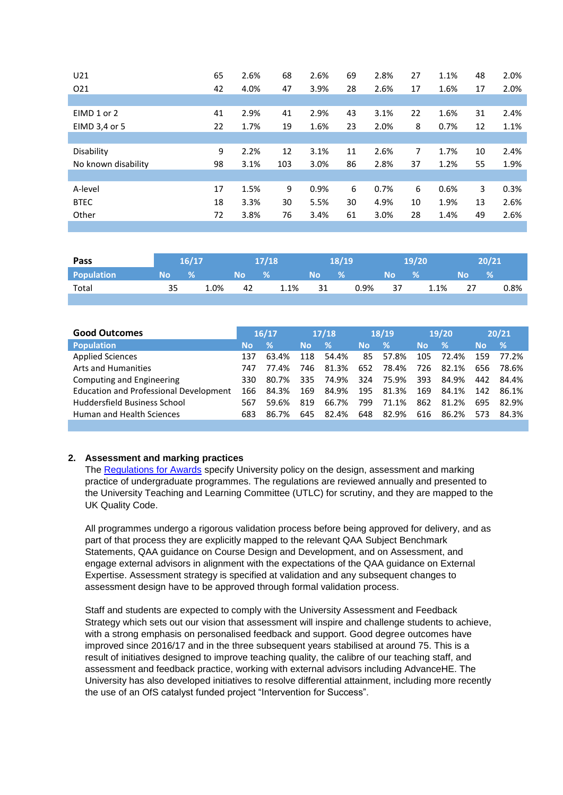| U21                 | 65 | 2.6% | 68  | 2.6% | 69 | 2.8% | 27 | 1.1% | 48 | 2.0% |
|---------------------|----|------|-----|------|----|------|----|------|----|------|
| 021                 | 42 | 4.0% | 47  | 3.9% | 28 | 2.6% | 17 | 1.6% | 17 | 2.0% |
|                     |    |      |     |      |    |      |    |      |    |      |
| EIMD 1 or 2         | 41 | 2.9% | 41  | 2.9% | 43 | 3.1% | 22 | 1.6% | 31 | 2.4% |
| EIMD 3,4 or 5       | 22 | 1.7% | 19  | 1.6% | 23 | 2.0% | 8  | 0.7% | 12 | 1.1% |
|                     |    |      |     |      |    |      |    |      |    |      |
| Disability          | 9  | 2.2% | 12  | 3.1% | 11 | 2.6% | 7  | 1.7% | 10 | 2.4% |
| No known disability | 98 | 3.1% | 103 | 3.0% | 86 | 2.8% | 37 | 1.2% | 55 | 1.9% |
|                     |    |      |     |      |    |      |    |      |    |      |
| A-level             | 17 | 1.5% | 9   | 0.9% | 6  | 0.7% | 6  | 0.6% | 3  | 0.3% |
| <b>BTEC</b>         | 18 | 3.3% | 30  | 5.5% | 30 | 4.9% | 10 | 1.9% | 13 | 2.6% |
| Other               | 72 | 3.8% | 76  | 3.4% | 61 | 3.0% | 28 | 1.4% | 49 | 2.6% |
|                     |    |      |     |      |    |      |    |      |    |      |

| Pass       | 16/17     |      | 17/18     |               | 18/19     |          | 19/20 |      | 20/21 |      |
|------------|-----------|------|-----------|---------------|-----------|----------|-------|------|-------|------|
| Population | <b>No</b> | - %  | <b>No</b> | $\frac{9}{6}$ | <b>No</b> | $\sim\%$ | No.   | - %  | Nο    | %    |
| Total      | 35        | 1.0% | 42        | 1.1%          | 31        | 0.9%     | 37    | 1.1% | 27    | 0.8% |

| <b>Good Outcomes</b>                          | 16/17     |       | 17/18 |               | 18/19     |               | 19/20     |               |           | 20/21 |
|-----------------------------------------------|-----------|-------|-------|---------------|-----------|---------------|-----------|---------------|-----------|-------|
| <b>Population</b>                             | <b>No</b> | %     | Νo    | $\frac{9}{6}$ | <b>No</b> | $\frac{9}{6}$ | <b>No</b> | $\frac{9}{6}$ | <b>No</b> | %     |
| <b>Applied Sciences</b>                       | 137       | 63.4% | 118   | 54.4%         | 85        | 57.8%         | 105       | 72.4%         | 159       | 77.2% |
| <b>Arts and Humanities</b>                    | 747       | 77.4% | 746.  | 81.3%         | 652       | 78.4%         | 726.      | 82.1%         | 656       | 78.6% |
| Computing and Engineering                     | 330       | 80.7% | 335   | 74.9%         | 324       | 75.9%         | 393       | 84.9%         | 442       | 84.4% |
| <b>Education and Professional Development</b> | 166       | 84.3% | 169   | 84.9%         | 195       | 81.3%         | 169       | 84.1%         | 142       | 86.1% |
| Huddersfield Business School                  | 567       | 59.6% | 819   | 66.7%         | 799       | 71.1%         | 862       | 81.2%         | 695       | 82.9% |
| Human and Health Sciences                     | 683       | 86.7% | 645   | 82.4%         | 648       | 82.9%         | 616       | 86.2%         | 573.      | 84.3% |
|                                               |           |       |       |               |           |               |           |               |           |       |

## **2. Assessment and marking practices**

The [Regulations for Awards](https://www.hud.ac.uk/policies/registry/awards-taught/contents/) specify University policy on the design, assessment and marking practice of undergraduate programmes. The regulations are reviewed annually and presented to the University Teaching and Learning Committee (UTLC) for scrutiny, and they are mapped to the UK Quality Code.

All programmes undergo a rigorous validation process before being approved for delivery, and as part of that process they are explicitly mapped to the relevant QAA Subject Benchmark Statements, QAA guidance on Course Design and Development, and on Assessment, and engage external advisors in alignment with the expectations of the QAA guidance on External Expertise. Assessment strategy is specified at validation and any subsequent changes to assessment design have to be approved through formal validation process.

Staff and students are expected to comply with the University Assessment and Feedback Strategy which sets out our vision that assessment will inspire and challenge students to achieve, with a strong emphasis on personalised feedback and support. Good degree outcomes have improved since 2016/17 and in the three subsequent years stabilised at around 75. This is a result of initiatives designed to improve teaching quality, the calibre of our teaching staff, and assessment and feedback practice, working with external advisors including AdvanceHE. The University has also developed initiatives to resolve differential attainment, including more recently the use of an OfS catalyst funded project "Intervention for Success".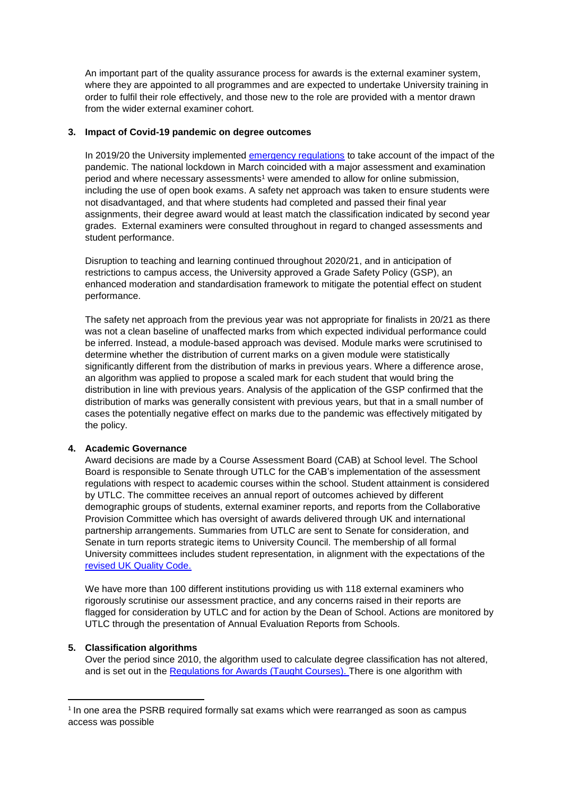An important part of the quality assurance process for awards is the external examiner system, where they are appointed to all programmes and are expected to undertake University training in order to fulfil their role effectively, and those new to the role are provided with a mentor drawn from the wider external examiner cohort.

#### **3. Impact of Covid-19 pandemic on degree outcomes**

In 2019/20 the University implemented [emergency regulations](https://www.hud.ac.uk/policies/registry/awards-taught/section-8/) to take account of the impact of the pandemic. The national lockdown in March coincided with a major assessment and examination period and where necessary assessments<sup>1</sup> were amended to allow for online submission, including the use of open book exams. A safety net approach was taken to ensure students were not disadvantaged, and that where students had completed and passed their final year assignments, their degree award would at least match the classification indicated by second year grades. External examiners were consulted throughout in regard to changed assessments and student performance.

Disruption to teaching and learning continued throughout 2020/21, and in anticipation of restrictions to campus access, the University approved a Grade Safety Policy (GSP), an enhanced moderation and standardisation framework to mitigate the potential effect on student performance.

The safety net approach from the previous year was not appropriate for finalists in 20/21 as there was not a clean baseline of unaffected marks from which expected individual performance could be inferred. Instead, a module-based approach was devised. Module marks were scrutinised to determine whether the distribution of current marks on a given module were statistically significantly different from the distribution of marks in previous years. Where a difference arose, an algorithm was applied to propose a scaled mark for each student that would bring the distribution in line with previous years. Analysis of the application of the GSP confirmed that the distribution of marks was generally consistent with previous years, but that in a small number of cases the potentially negative effect on marks due to the pandemic was effectively mitigated by the policy.

#### **4. Academic Governance**

Award decisions are made by a Course Assessment Board (CAB) at School level. The School Board is responsible to Senate through UTLC for the CAB's implementation of the assessment regulations with respect to academic courses within the school. Student attainment is considered by UTLC. The committee receives an annual report of outcomes achieved by different demographic groups of students, external examiner reports, and reports from the Collaborative Provision Committee which has oversight of awards delivered through UK and international partnership arrangements. Summaries from UTLC are sent to Senate for consideration, and Senate in turn reports strategic items to University Council. The membership of all formal University committees includes student representation, in alignment with the expectations of the [revised UK Quality Code.](https://www.qaa.ac.uk/quality-code)

We have more than 100 different institutions providing us with 118 external examiners who rigorously scrutinise our assessment practice, and any concerns raised in their reports are flagged for consideration by UTLC and for action by the Dean of School. Actions are monitored by UTLC through the presentation of Annual Evaluation Reports from Schools.

## **5. Classification algorithms**

1

Over the period since 2010, the algorithm used to calculate degree classification has not altered, and is set out in the [Regulations for Awards](https://www.hud.ac.uk/policies/registry/awards-taught/section-6/) (Taught Courses). There is one algorithm with

<sup>&</sup>lt;sup>1</sup> In one area the PSRB required formally sat exams which were rearranged as soon as campus access was possible